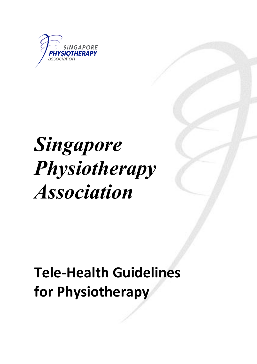

# *Singapore Physiotherapy Association*

# **Tele-Health Guidelines for Physiotherapy**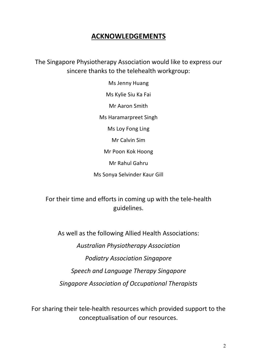### **ACKNOWLEDGEMENTS**

The Singapore Physiotherapy Association would like to express our sincere thanks to the telehealth workgroup:

> Ms Jenny Huang Ms Kylie Siu Ka Fai Mr Aaron Smith Ms Haramarpreet Singh Ms Loy Fong Ling Mr Calvin Sim Mr Poon Kok Hoong Mr Rahul Gahru Ms Sonya Selvinder Kaur Gill

For their time and efforts in coming up with the tele-health guidelines.

As well as the following Allied Health Associations: *Australian Physiotherapy Association Podiatry Association Singapore Speech and Language Therapy Singapore Singapore Association of Occupational Therapists*

For sharing their tele-health resources which provided support to the conceptualisation of our resources.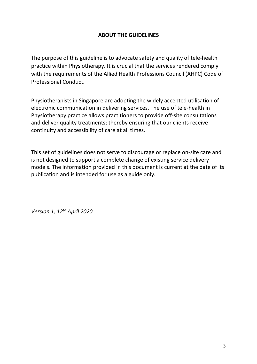#### **ABOUT THE GUIDELINES**

The purpose of this guideline is to advocate safety and quality of tele-health practice within Physiotherapy. It is crucial that the services rendered comply with the requirements of the Allied Health Professions Council (AHPC) Code of Professional Conduct.

Physiotherapists in Singapore are adopting the widely accepted utilisation of electronic communication in delivering services. The use of tele-health in Physiotherapy practice allows practitioners to provide off-site consultations and deliver quality treatments; thereby ensuring that our clients receive continuity and accessibility of care at all times.

This set of guidelines does not serve to discourage or replace on-site care and is not designed to support a complete change of existing service delivery models. The information provided in this document is current at the date of its publication and is intended for use as a guide only.

*Version 1, 12th April 2020*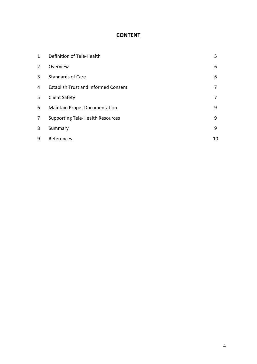## **CONTENT**

| 1              | Definition of Tele-Health                   | 5  |
|----------------|---------------------------------------------|----|
| $\overline{2}$ | Overview                                    | 6  |
| 3              | <b>Standards of Care</b>                    | 6  |
| 4              | <b>Establish Trust and Informed Consent</b> | 7  |
| 5              | <b>Client Safety</b>                        | 7  |
| 6              | <b>Maintain Proper Documentation</b>        | 9  |
| $\overline{7}$ | <b>Supporting Tele-Health Resources</b>     | 9  |
| 8              | Summary                                     | 9  |
| 9              | References                                  | 10 |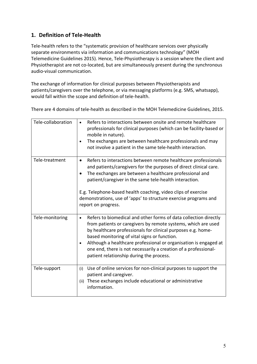#### **1. Definition of Tele-Health**

Tele-health refers to the "systematic provision of healthcare services over physically separate environments via information and communications technology" (MOH Telemedicine Guidelines 2015). Hence, Tele-Physiotherapy is a session where the client and Physiotherapist are not co-located, but are simultaneously present during the synchronous audio-visual communication.

The exchange of information for clinical purposes between Physiotherapists and patients/caregivers over the telephone, or via messaging platforms (e.g. SMS, whatsapp), would fall within the scope and definition of tele-health.

There are 4 domains of tele-health as described in the MOH Telemedicine Guidelines, 2015.

| Tele-collaboration | Refers to interactions between onsite and remote healthcare<br>professionals for clinical purposes (which can be facility-based or<br>mobile in nature).<br>The exchanges are between healthcare professionals and may<br>not involve a patient in the same tele-health interaction.                                                                                                                                                              |
|--------------------|---------------------------------------------------------------------------------------------------------------------------------------------------------------------------------------------------------------------------------------------------------------------------------------------------------------------------------------------------------------------------------------------------------------------------------------------------|
| Tele-treatment     | Refers to interactions between remote healthcare professionals<br>and patients/caregivers for the purposes of direct clinical care.<br>The exchanges are between a healthcare professional and<br>patient/caregiver in the same tele-health interaction.<br>E.g. Telephone-based health coaching, video clips of exercise<br>demonstrations, use of 'apps' to structure exercise programs and<br>report on progress.                              |
| Tele-monitoring    | Refers to biomedical and other forms of data collection directly<br>$\bullet$<br>from patients or caregivers by remote systems, which are used<br>by healthcare professionals for clinical purposes e.g. home-<br>based monitoring of vital signs or function.<br>Although a healthcare professional or organisation is engaged at<br>one end, there is not necessarily a creation of a professional-<br>patient relationship during the process. |
| Tele-support       | Use of online services for non-clinical purposes to support the<br>(i)<br>patient and caregiver.<br>These exchanges include educational or administrative<br>(ii)<br>information.                                                                                                                                                                                                                                                                 |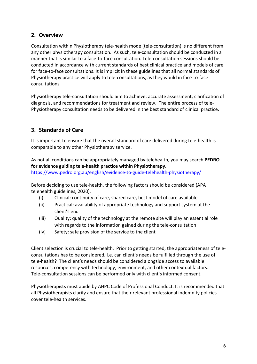#### **2. Overview**

Consultation within Physiotherapy tele-health mode (tele-consultation) is no different from any other physiotherapy consultation. As such, tele-consultation should be conducted in a manner that is similar to a face-to-face consultation. Tele-consultation sessions should be conducted in accordance with current standards of best clinical practice and models of care for face-to-face consultations. It is implicit in these guidelines that all normal standards of Physiotherapy practice will apply to tele-consultations, as they would in face-to-face consultations.

Physiotherapy tele-consultation should aim to achieve: accurate assessment, clarification of diagnosis, and recommendations for treatment and review. The entire process of tele-Physiotherapy consultation needs to be delivered in the best standard of clinical practice.

#### **3. Standards of Care**

It is important to ensure that the overall standard of care delivered during tele-health is comparable to any other Physiotherapy service.

As not all conditions can be appropriately managed by telehealth, you may search **PEDRO for evidence guiding tele-health practice within Physiotherapy.** https://www.pedro.org.au/english/evidence-to-guide-telehealth-physiotherapy/

Before deciding to use tele-health, the following factors should be considered (APA telehealth guidelines, 2020).

- (i) Clinical: continuity of care, shared care, best model of care available
- (ii) Practical: availability of appropriate technology and support system at the client's end
- (iii) Quality: quality of the technology at the remote site will play an essential role with regards to the information gained during the tele-consultation
- (iv) Safety: safe provision of the service to the client

Client selection is crucial to tele-health. Prior to getting started, the appropriateness of teleconsultations has to be considered, i.e. can client's needs be fulfilled through the use of tele-health? The client's needs should be considered alongside access to available resources, competency with technology, environment, and other contextual factors. Tele-consultation sessions can be performed only with client's informed consent.

Physiotherapists must abide by AHPC Code of Professional Conduct. It is recommended that all Physiotherapists clarify and ensure that their relevant professional indemnity policies cover tele-health services.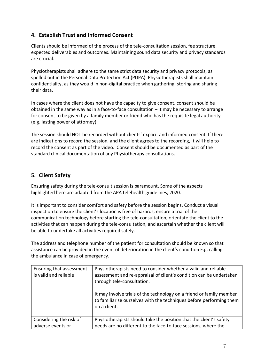#### **4. Establish Trust and Informed Consent**

Clients should be informed of the process of the tele-consultation session, fee structure, expected deliverables and outcomes. Maintaining sound data security and privacy standards are crucial.

Physiotherapists shall adhere to the same strict data security and privacy protocols, as spelled out in the Personal Data Protection Act (PDPA). Physiotherapists shall maintain confidentiality, as they would in non-digital practice when gathering, storing and sharing their data.

In cases where the client does not have the capacity to give consent, consent should be obtained in the same way as in a face-to-face consultation – it may be necessary to arrange for consent to be given by a family member or friend who has the requisite legal authority (e.g. lasting power of attorney).

The session should NOT be recorded without clients' explicit and informed consent. If there are indications to record the session, and the client agrees to the recording, it will help to record the consent as part of the video. Consent should be documented as part of the standard clinical documentation of any Physiotherapy consultations.

#### **5. Client Safety**

Ensuring safety during the tele-consult session is paramount. Some of the aspects highlighted here are adapted from the APA telehealth guidelines, 2020.

It is important to consider comfort and safety before the session begins. Conduct a visual inspection to ensure the client's location is free of hazards, ensure a trial of the communication technology before starting the tele-consultation, orientate the client to the activities that can happen during the tele-consultation, and ascertain whether the client will be able to undertake all activities required safely.

The address and telephone number of the patient for consultation should be known so that assistance can be provided in the event of deterioration in the client's condition E.g. calling the ambulance in case of emergency.

| Ensuring that assessment<br>is valid and reliable | Physiotherapists need to consider whether a valid and reliable<br>assessment and re-appraisal of client's condition can be undertaken<br>through tele-consultation.<br>It may involve trials of the technology on a friend or family member<br>to familiarise ourselves with the techniques before performing them<br>on a client. |
|---------------------------------------------------|------------------------------------------------------------------------------------------------------------------------------------------------------------------------------------------------------------------------------------------------------------------------------------------------------------------------------------|
| Considering the risk of<br>adverse events or      | Physiotherapists should take the position that the client's safety<br>needs are no different to the face-to-face sessions, where the                                                                                                                                                                                               |
|                                                   |                                                                                                                                                                                                                                                                                                                                    |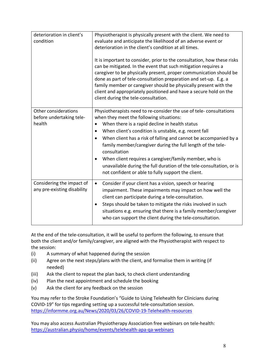| deterioration in client's<br>condition                     | Physiotherapist is physically present with the client. We need to<br>evaluate and anticipate the likelihood of an adverse event or<br>deterioration in the client's condition at all times.<br>It is important to consider, prior to the consultation, how these risks<br>can be mitigated. In the event that such mitigation requires a<br>caregiver to be physically present, proper communication should be<br>done as part of tele-consultation preparation and set-up. E.g. a<br>family member or caregiver should be physically present with the<br>client and appropriately positioned and have a secure hold on the<br>client during the tele-consultation. |
|------------------------------------------------------------|---------------------------------------------------------------------------------------------------------------------------------------------------------------------------------------------------------------------------------------------------------------------------------------------------------------------------------------------------------------------------------------------------------------------------------------------------------------------------------------------------------------------------------------------------------------------------------------------------------------------------------------------------------------------|
| Other considerations<br>before undertaking tele-<br>health | Physiotherapists need to re-consider the use of tele-consultations<br>when they meet the following situations:<br>When there is a rapid decline in health status<br>$\bullet$<br>When client's condition is unstable, e.g. recent fall<br>$\bullet$<br>When client has a risk of falling and cannot be accompanied by a<br>$\bullet$<br>family member/caregiver during the full length of the tele-<br>consultation<br>When client requires a caregiver/family member, who is<br>$\bullet$<br>unavailable during the full duration of the tele-consultation, or is<br>not confident or able to fully support the client.                                            |
| Considering the impact of<br>any pre-existing disability   | Consider if your client has a vision, speech or hearing<br>$\bullet$<br>impairment. These impairments may impact on how well the<br>client can participate during a tele-consultation.<br>Steps should be taken to mitigate the risks involved in such<br>$\bullet$<br>situations e.g. ensuring that there is a family member/caregiver<br>who can support the client during the tele-consultation.                                                                                                                                                                                                                                                                 |

At the end of the tele-consultation, it will be useful to perform the following, to ensure that both the client and/or family/caregiver, are aligned with the Physiotherapist with respect to the session:

- (i) A summary of what happened during the session
- (ii) Agree on the next steps/plans with the client, and formalise them in writing (if needed)
- (iii) Ask the client to repeat the plan back, to check client understanding
- (iv) Plan the next appointment and schedule the booking
- (v) Ask the client for any feedback on the session

You may refer to the Stroke Foundation's "Guide to Using Telehealth for Clinicians during COVID-19" for tips regarding setting up a successful tele-consultation session. https://informme.org.au/News/2020/03/26/COVID-19-Telehealth-resources

You may also access Australian Physiotherapy Association free webinars on tele-health: https://australian.physio/home/events/telehealth-apa-qa-webinars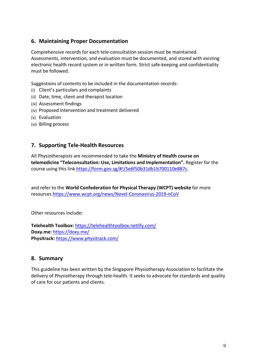#### **6. Maintaining Proper Documentation**

Comprehensive records for each tele-consultation session must be maintained. Assessments, intervention, and evaluation must be documented, and stored with existing electronic health record system or in written form. Strict safe-keeping and confidentiality must be followed.

Suggestions of contents to be included in the documentation records:

- (i) Client's particulars and complaints
- (ii) Date, time, client and therapist location
- (iii) Assessment findings
- (iv) Proposed intervention and treatment delivered
- (v) Evaluation
- (vi) Billing process

#### **7. Supporting Tele-Health Resources**

All Physiotherapists are recommended to take the **Ministry of Health course on telemedicine "Teleconsultation: Use, Limitations and Implementation".** Register for the course using this link https://form.gov.sg/#!/5e6f50b31db1b700110e887c.

and refer to the **World Confederation for Physical Therapy (WCPT) website** for more resources https://www.wcpt.org/news/Novel-Coronavirus-2019-nCoV

Other resources include:

**Telehealth Toolbox:** https://telehealthtoolbox.netlify.com/ **Doxy.me:** https://doxy.me/ **Physitrack:** https://www.physitrack.com/

#### **8. Summary**

This guideline has been written by the Singapore Physiotherapy Association to facilitate the delivery of Physiotherapy through tele-health. It seeks to advocate for standards and quality of care for our patients and clients.